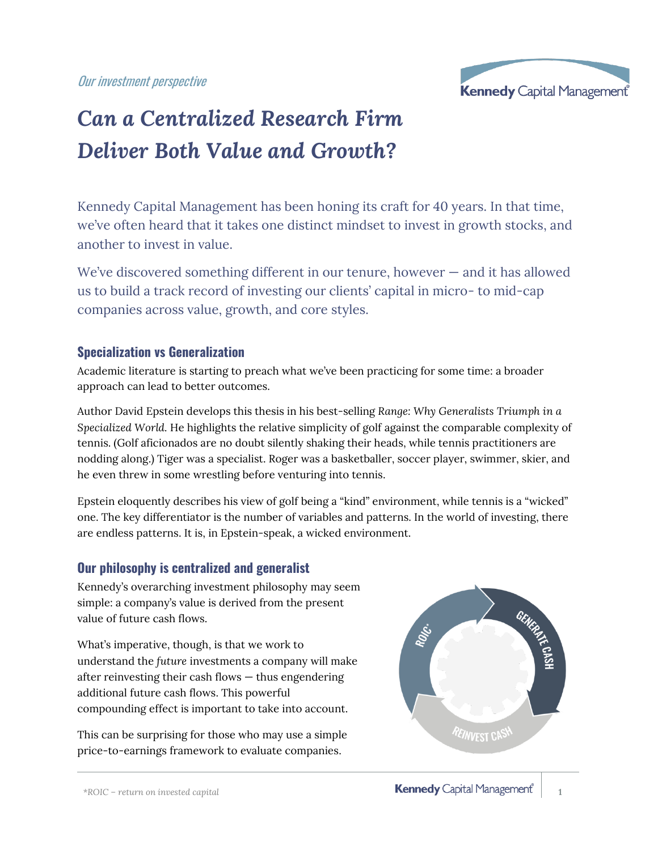Our investment perspective



# *Can a Centralized Research Firm Deliver Both Value and Growth?*

Kennedy Capital Management has been honing its craft for 40 years. In that time, we've often heard that it takes one distinct mindset to invest in growth stocks, and another to invest in value.

We've discovered something different in our tenure, however – and it has allowed us to build a track record of investing our clients' capital in micro- to mid-cap companies across value, growth, and core styles.

#### **Specialization vs Generalization**

Academic literature is starting to preach what we've been practicing for some time: a broader approach can lead to better outcomes.

Author David Epstein develops this thesis in his best-selling *Range: Why Generalists Triumph in a Specialized World.* He highlights the relative simplicity of golf against the comparable complexity of tennis. (Golf aficionados are no doubt silently shaking their heads, while tennis practitioners are nodding along.) Tiger was a specialist. Roger was a basketballer, soccer player, swimmer, skier, and he even threw in some wrestling before venturing into tennis.

Epstein eloquently describes his view of golf being a "kind" environment, while tennis is a "wicked" one. The key differentiator is the number of variables and patterns. In the world of investing, there are endless patterns. It is, in Epstein-speak, a wicked environment.

#### **Our philosophy is centralized and generalist**

Kennedy's overarching investment philosophy may seem simple: a company's value is derived from the present value of future cash flows.

What's imperative, though, is that we work to understand the *future* investments a company will make after reinvesting their cash flows — thus engendering additional future cash flows. This powerful compounding effect is important to take into account.

This can be surprising for those who may use a simple price-to-earnings framework to evaluate companies.

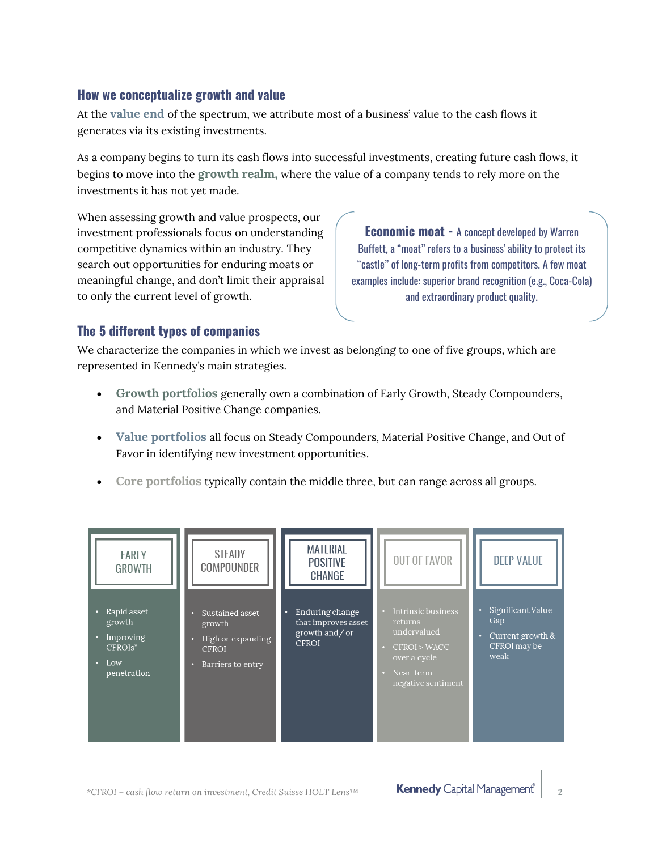#### **How we conceptualize growth and value**

At the **value end** of the spectrum, we attribute most of a business' value to the cash flows it generates via its existing investments.

As a company begins to turn its cash flows into successful investments, creating future cash flows, it begins to move into the **growth realm,** where the value of a company tends to rely more on the investments it has not yet made.

When assessing growth and value prospects, our investment professionals focus on understanding competitive dynamics within an industry. They search out opportunities for enduring moats or meaningful change, and don't limit their appraisal to only the current level of growth.

**Economic moat -** A concept developed by Warren Buffett, a "moat" refers to a business' ability to protect its "castle" of long-term profits from competitors. A few moat examples include: superior brand recognition (e.g., Coca-Cola) and extraordinary product quality.

### **The 5 different types of companies**

We characterize the companies in which we invest as belonging to one of five groups, which are represented in Kennedy's main strategies.

- **Growth portfolios** generally own a combination of Early Growth, Steady Compounders, and Material Positive Change companies.
- **Value portfolios** all focus on Steady Compounders, Material Positive Change, and Out of Favor in identifying new investment opportunities.
- **Core portfolios** typically contain the middle three, but can range across all groups.

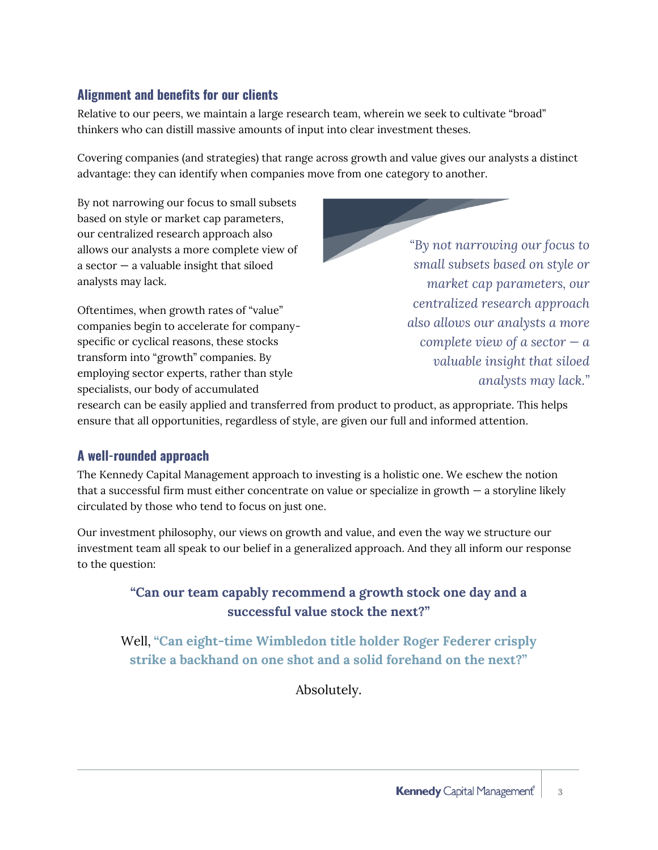#### **Alignment and benefits for our clients**

Relative to our peers, we maintain a large research team, wherein we seek to cultivate "broad" thinkers who can distill massive amounts of input into clear investment theses.

Covering companies (and strategies) that range across growth and value gives our analysts a distinct advantage: they can identify when companies move from one category to another.

By not narrowing our focus to small subsets based on style or market cap parameters, our centralized research approach also allows our analysts a more complete view of a sector  $-$  a valuable insight that siloed analysts may lack.

Oftentimes, when growth rates of "value" companies begin to accelerate for companyspecific or cyclical reasons, these stocks transform into "growth" companies. By employing sector experts, rather than style specialists, our body of accumulated

*"By not narrowing our focus to small subsets based on style or market cap parameters, our centralized research approach also allows our analysts a more complete view of a sector*  $-a$ *valuable insight that siloed analysts may lack."*

research can be easily applied and transferred from product to product, as appropriate. This helps ensure that all opportunities, regardless of style, are given our full and informed attention.

#### **A well-rounded approach**

The Kennedy Capital Management approach to investing is a holistic one. We eschew the notion that a successful firm must either concentrate on value or specialize in growth — a storyline likely circulated by those who tend to focus on just one.

Our investment philosophy, our views on growth and value, and even the way we structure our investment team all speak to our belief in a generalized approach. And they all inform our response to the question:

### **"Can our team capably recommend a growth stock one day and a successful value stock the next?"**

Well, **"Can eight-time Wimbledon title holder Roger Federer crisply strike a backhand on one shot and a solid forehand on the next?"**

Absolutely.